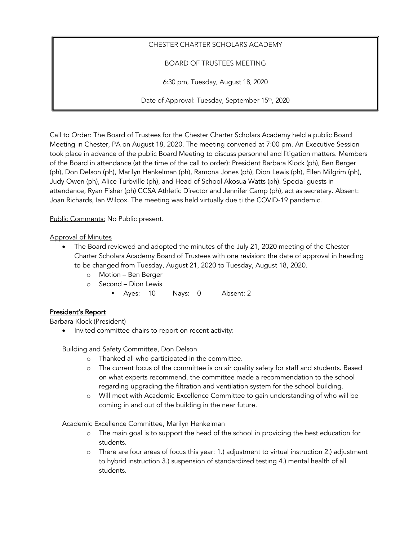# CHESTER CHARTER SCHOLARS ACADEMY

BOARD OF TRUSTEES MEETING

6:30 pm, Tuesday, August 18, 2020

Date of Approval: Tuesday, September 15<sup>th</sup>, 2020

Call to Order: The Board of Trustees for the Chester Charter Scholars Academy held a public Board Meeting in Chester, PA on August 18, 2020. The meeting convened at 7:00 pm. An Executive Session took place in advance of the public Board Meeting to discuss personnel and litigation matters. Members of the Board in attendance (at the time of the call to order): President Barbara Klock (ph), Ben Berger (ph), Don Delson (ph), Marilyn Henkelman (ph), Ramona Jones (ph), Dion Lewis (ph), Ellen Milgrim (ph), Judy Owen (ph), Alice Turbville (ph), and Head of School Akosua Watts (ph). Special guests in attendance, Ryan Fisher (ph) CCSA Athletic Director and Jennifer Camp (ph), act as secretary. Absent: Joan Richards, Ian Wilcox. The meeting was held virtually due ti the COVID-19 pandemic.

Public Comments: No Public present.

### Approval of Minutes

- The Board reviewed and adopted the minutes of the July 21, 2020 meeting of the Chester Charter Scholars Academy Board of Trustees with one revision: the date of approval in heading to be changed from Tuesday, August 21, 2020 to Tuesday, August 18, 2020.
	- o Motion Ben Berger
	- o Second Dion Lewis
		- § Ayes: 10 Nays: 0 Absent: 2

# President's Report

Barbara Klock (President)

• Invited committee chairs to report on recent activity:

Building and Safety Committee, Don Delson

- o Thanked all who participated in the committee.
- o The current focus of the committee is on air quality safety for staff and students. Based on what experts recommend, the committee made a recommendation to the school regarding upgrading the filtration and ventilation system for the school building.
- o Will meet with Academic Excellence Committee to gain understanding of who will be coming in and out of the building in the near future.

Academic Excellence Committee, Marilyn Henkelman

- o The main goal is to support the head of the school in providing the best education for students.
- o There are four areas of focus this year: 1.) adjustment to virtual instruction 2.) adjustment to hybrid instruction 3.) suspension of standardized testing 4.) mental health of all students.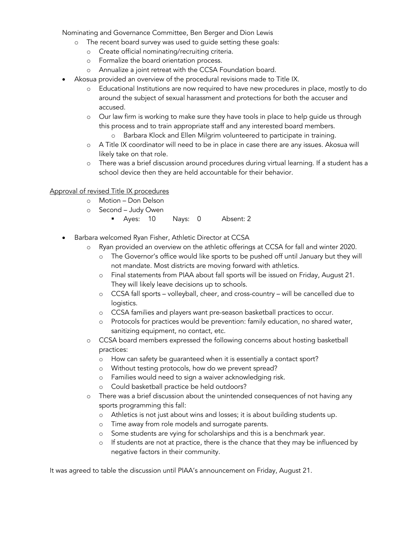Nominating and Governance Committee, Ben Berger and Dion Lewis

- o The recent board survey was used to guide setting these goals:
	- o Create official nominating/recruiting criteria.
	- o Formalize the board orientation process.
	- o Annualize a joint retreat with the CCSA Foundation board.
- Akosua provided an overview of the procedural revisions made to Title IX.
	- o Educational Institutions are now required to have new procedures in place, mostly to do around the subject of sexual harassment and protections for both the accuser and accused.
	- o Our law firm is working to make sure they have tools in place to help guide us through this process and to train appropriate staff and any interested board members.
		- o Barbara Klock and Ellen Milgrim volunteered to participate in training.
	- o A Title IX coordinator will need to be in place in case there are any issues. Akosua will likely take on that role.
	- o There was a brief discussion around procedures during virtual learning. If a student has a school device then they are held accountable for their behavior.

### Approval of revised Title IX procedures

- o Motion Don Delson
- o Second Judy Owen
	- § Ayes: 10 Nays: 0 Absent: 2
- Barbara welcomed Ryan Fisher, Athletic Director at CCSA
	- o Ryan provided an overview on the athletic offerings at CCSA for fall and winter 2020.
		- o The Governor's office would like sports to be pushed off until January but they will not mandate. Most districts are moving forward with athletics.
		- o Final statements from PIAA about fall sports will be issued on Friday, August 21. They will likely leave decisions up to schools.
		- o CCSA fall sports volleyball, cheer, and cross-country will be cancelled due to logistics.
		- o CCSA families and players want pre-season basketball practices to occur.
		- o Protocols for practices would be prevention: family education, no shared water, sanitizing equipment, no contact, etc.
	- o CCSA board members expressed the following concerns about hosting basketball practices:
		- o How can safety be guaranteed when it is essentially a contact sport?
		- o Without testing protocols, how do we prevent spread?
		- o Families would need to sign a waiver acknowledging risk.
		- o Could basketball practice be held outdoors?
	- o There was a brief discussion about the unintended consequences of not having any sports programming this fall:
		- o Athletics is not just about wins and losses; it is about building students up.
		- o Time away from role models and surrogate parents.
		- o Some students are vying for scholarships and this is a benchmark year.
		- o If students are not at practice, there is the chance that they may be influenced by negative factors in their community.

It was agreed to table the discussion until PIAA's announcement on Friday, August 21.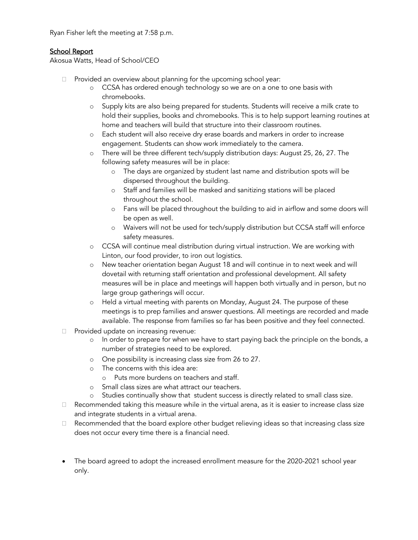Ryan Fisher left the meeting at 7:58 p.m.

### School Report

Akosua Watts, Head of School/CEO

- Provided an overview about planning for the upcoming school year:
	- o CCSA has ordered enough technology so we are on a one to one basis with chromebooks.
	- o Supply kits are also being prepared for students. Students will receive a milk crate to hold their supplies, books and chromebooks. This is to help support learning routines at home and teachers will build that structure into their classroom routines.
	- o Each student will also receive dry erase boards and markers in order to increase engagement. Students can show work immediately to the camera.
	- o There will be three different tech/supply distribution days: August 25, 26, 27. The following safety measures will be in place:
		- o The days are organized by student last name and distribution spots will be dispersed throughout the building.
		- o Staff and families will be masked and sanitizing stations will be placed throughout the school.
		- o Fans will be placed throughout the building to aid in airflow and some doors will be open as well.
		- o Waivers will not be used for tech/supply distribution but CCSA staff will enforce safety measures.
	- o CCSA will continue meal distribution during virtual instruction. We are working with Linton, our food provider, to iron out logistics.
	- o New teacher orientation began August 18 and will continue in to next week and will dovetail with returning staff orientation and professional development. All safety measures will be in place and meetings will happen both virtually and in person, but no large group gatherings will occur.
	- o Held a virtual meeting with parents on Monday, August 24. The purpose of these meetings is to prep families and answer questions. All meetings are recorded and made available. The response from families so far has been positive and they feel connected.
- Provided update on increasing revenue:
	- o In order to prepare for when we have to start paying back the principle on the bonds, a number of strategies need to be explored.
	- o One possibility is increasing class size from 26 to 27.
	- o The concerns with this idea are:
		- o Puts more burdens on teachers and staff.
	- o Small class sizes are what attract our teachers.
	- o Studies continually show that student success is directly related to small class size.
- Recommended taking this measure while in the virtual arena, as it is easier to increase class size and integrate students in a virtual arena.
- Recommended that the board explore other budget relieving ideas so that increasing class size does not occur every time there is a financial need.
- The board agreed to adopt the increased enrollment measure for the 2020-2021 school year only.